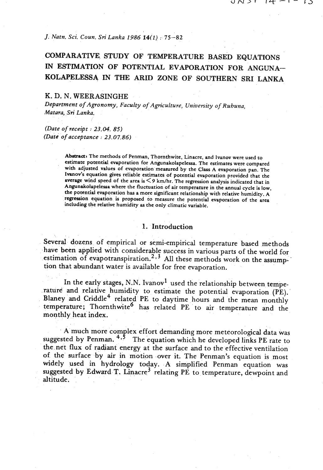*J. Natn, Sci. Coun. Sri Lanka 1986* **14(1)** : 75-82

# COMPARATIVE STUDY OF TEMPERATURE BASED EQUATIONS IN ESTIMATION OF POTENTIAL EVAPORATION FOR ANGUNA-KOLAPELESSA IN THE ARID ZONE OF SOUTHERN SRI **LANKA**

## K. D. N. WEERASINGHE

*Department of Agronomy, Faculty of Agriculture, University of Ruhuna, Matma, Sri Lanka.* 

*(Date of receipt* : *23.04.* **85)**  *(Dato of acceptance* : *23.0 7.86)* 

> **Abstracts** The methods of Penman, Thornthwite. Linacre, and lvanov were used to estimate potential evaporation for Angunakolapelessa. The estimates were compared with adjusted values of evaporation measured by the Class A evaporation pan. The Ivanov's equation gives reliable estimates of potential evaporation provided that the average wind speed of the area is < 9 km/hr. The regression analysis indicated that in Angunakolapelesa where the fluctuation of air temperature in the annual cycle is low, the potential evaporation **has** a more significant relationship with relative humidity. A regression equation is proposed to measure the potential evaporation of the area including the relative humidity **as** the only climatic variable.

## 1. Introduction

Several dozens of empirical or semi-empirical temperature based methods have been applied with considerable success in various parts of the world for estimation of evapotranspiration.<sup>2, 3</sup> All these methods work on the assumption that abundant water is available for free evaporation.

In the early stages, N.N. Ivanov<sup>1</sup> used the relationship between temperature and relative humidity to estimate the potential evaporation **(PE).'**  Blaney and Criddle<sup>4</sup> related PE to daytime hours and the mean monthly temperature; Thornthwite<sup>6</sup> has related PE to air temperature and the monthly heat index.

A much more complex effort demanding more meteorological data was suggested by Penman.  $4.5$  The equation which he developed links PE rate to the net flux of radiant energy at the surface and to the effective ventilation of the surface by air in motion over it. The Penman's equation is most widely used in hydrology today. A simplified Penman equation was suggested by Edward T. Linacre<sup>3</sup> relating PE to temperature, dewpoint and altitude.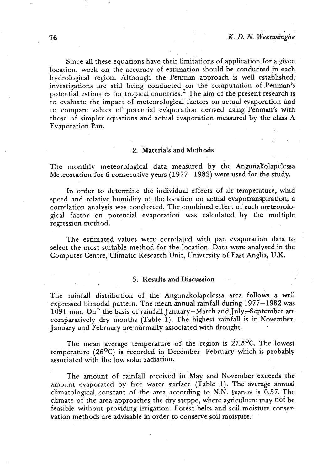Since all these equations have their limitations of application for a given location, work on the accuracy of estimation should be conducted in each hydrological region. Although the Penman approach is well established, investigations are still being conducted on the computation of Penman's potential estimates for tropical countries.<sup>2</sup> The aim of the present research is to evaluate the impact of meteorological factors on actual evaporation and to compare values of potential evaporation derived using Penman's with those of simpler equations and actual evaporation measured by the class A Evaporation Pan.

#### 2. Materials and Methods

The monthly meteorological data measured by the AngunaKolapelessa Meteostation for 6 consecutive years  $(1977-1982)$  were used for the study.

In order to determine the individual effects of air temperature, wind speed and relative humidity of the location on actual evapotranspiration, a correlation analysis was conducted. The combined effect of each meteorological factor on potential evaporation was calculated by the multiple regression method.

The estimated values were correlated with pan evaporation data to select the most suitable method for the location. Data were analysed in the Computer Centre, Climatic Research Unit, University of East Anglia, U.K.

#### **3.** Results and Discussion

The rainfall distribution of the Angunakolapelessa area follows a well expressed bimodal pattern. The mean annual rainfall during 1977-1982 was 1091 mm. On ' the basis of rainfall January-March and July-September are comparatively dry months (Table 1). The highest rainfall is in November. January and February are normally associated with drought.

The mean average temperature of the region is  $27.5^{\circ}$ C. The lowest temperature  $(26^{\circ}\text{C})$  is recorded in December-February which is probably associated with the low solar radiation.

The amount of rainfall received in May and November exceeds the . amount evaporated by free water surface (Table 1). The average annual climatological, constant of the area according to N.N. Ivanov is 0.57. The climate of the area approaches the dry steppe, where agriculture may not be feasible without providing irrigation. Forest belts and soil moisture conservation methods are advisable in order to conserve soil moisture..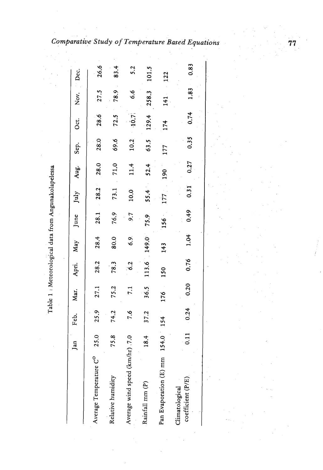|                                         | Jan               | Feb. | Mar. | Apri.         | May   | June | July | Aug. | Sep. | Oct.  | Nov.  | Dec.  |
|-----------------------------------------|-------------------|------|------|---------------|-------|------|------|------|------|-------|-------|-------|
|                                         |                   |      |      |               |       |      |      |      |      |       |       |       |
| Average Temperature C <sup>o</sup> 25.0 |                   | 25.9 | 27.1 | 28.2          | 28.4  | 28.1 | 28.2 | 28.0 | 28.0 | 28.6  | 27.5  | 26.6  |
| Relative humidity                       | $^{\circ}$<br>75. | 74.2 | 75.2 | 78.3          | 80.0  | 76.9 | 73.1 | 71,0 | 69.6 | 72.5  | 78.9  | 83.4  |
| Average wind speed (km/hr) 7.0          |                   | 7.6  | 7.1  | $\frac{2}{6}$ | 6.9   | 9.7  | 10.0 | 11.4 | 10.2 | 10.7  | 6.6   | 5.2   |
| Rainfall mm (P)                         | 18.4              | 37.2 | 36.5 | 113.6         | 149.0 | 75.9 | 55.4 | 52.4 | 63.5 | 129.4 | 258.3 | 101.5 |
| Pan Evaporation (E) mm 154.0            |                   | 154  | 176  | 150           | 143   | 156  | I77  | 190  | 177  | 174   | 141   | 122   |
| coefficient (P/E)<br>Climatological     |                   | 0.24 | 0.20 | 0.76          | 1.04  | 0.49 | 0.31 | 0.27 | 0.35 | 0.74  | 1.83  | 0.83  |

**Table 1** : **Meteorological data from Angunakolapelessa**  Table 1 : Meteorological data from Angunakolapelessa

77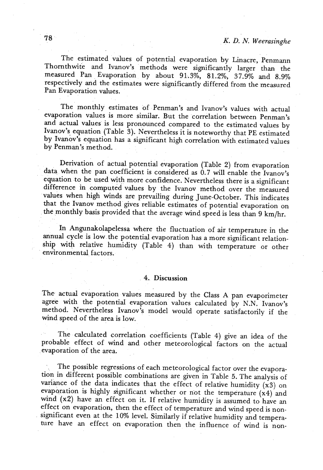The estimated values of potential evaporation by Linacre, Penmann Thornthwite and Ivanov's methods were significantly larger than the measured Pan Evaporation by about 91.3%, 81.2%, 37.9% and 8.9% respectively and the estimates were significantly differed from the measured Pan Evaporation values.

The monthly estimates of Penman's and Ivanov's values with actual evaporation values is more similar. But the correlation between Penman's and actual values is less pronounced compared to the estimated values by Ivanov's equation (Table 3). Nevertheless it is noteworthy that PE estimated by Ivanov's equation has a significant high correlation with estimated values by Penman's method.

Derivation of actual potential evaporation (Table 2) from evaporation data when the pan coefficient is considered as 0.7 will enable the Ivanov's equation to be used with more confidence. Nevertheless there is a significant difference in computed values by the Ivanov method over the measured values when high winds are prevailing during June-October. This indicates that the Ivanov method gives reliable estimates of potential evaporation on the monthly basis provided that the average wind speed is less than 9 km/hr.

In Angunakolapelessa where the fluctuation of air temperature in the annual cycle is low the potential evaporation has a more significant relationship with relative humidity (Table 4) than with temperature or other environmental factors.

### 4. Discussion

The actual evaporation values measured by the Class A pan evaporimeter agree with the potential evaporation values calculated by N.N. Ivanov's method. Nevertheless Ivanov's model would operate satisfactorily if the wind speed of the area is low.

The calculated correlation coefficients (Table 4) give an idea of the probable effect of wind and other meteorological factors on the actual evaporation of the area.

The possible regressions of each meteorological factor over the evaporation in different possible combinations are given in Table 5. The analysis of variance of the data indicates that the effect of relative humidity **(x3)** on evaparation is highly significant whether or not the temperature **(x4)** and wind **(x2)** have an effect on it. If relative humidity is assumed to have an effect on evaporation, then the effect of temperature and wind speed is nonsignificant even at the 10% level. Similarly if relative humidity and temperature have an effect on evaporation then the influence of wind is non-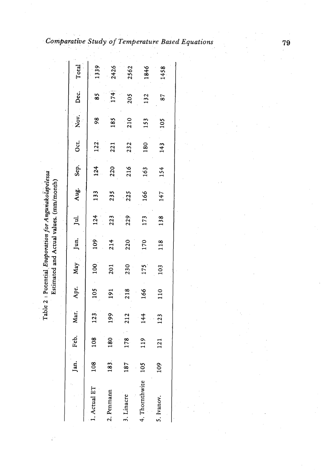|                | Jan. | Feb.                | Mar. | Apr. | May | Jun. | јц. | Aug. | Sep. | Oct. | Nov.          | Dec. | Total |
|----------------|------|---------------------|------|------|-----|------|-----|------|------|------|---------------|------|-------|
| . Actual ET    | 108  | ∞                   | 123  | 105  | 100 | 109  | 124 | 133  | 124  | 122. | $\frac{8}{2}$ | 85   | 1339  |
| 2. Penmann     | 183. | 0<br>$\frac{8}{18}$ | 199  | 191  | 201 | 214  | 223 | 235  | 220  | 221  | 185           | 174  | 2426  |
| . Linacre      | 187  | $\overline{17}$     | 212  | 218  | 230 | 220  | 229 | 225  | 216  | 232  | 210           | 205  | 2562  |
| 4. Thornthwite | 105  |                     | 144  | 166  | 175 | 170  | 173 | 166  | 163  | 180  | 153           | 132  | 1846  |
| 5. Ivanov.     | 109  | $\overline{121}$    | 123  | 110  | 103 | 118  | 138 | 147  | 154  | 143  | 105           | 87   | 1458  |
|                |      |                     |      |      |     |      |     |      |      |      |               |      |       |

**Surative Study of Temperature Based** 

79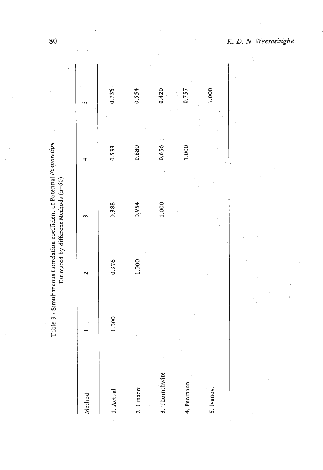| Method         |       | $\mathbf{\sim}$ |       |       |       |
|----------------|-------|-----------------|-------|-------|-------|
| 1. Actual      | 1.000 | 0.376           | 0.388 | 0.533 | 0.736 |
| 2. Linacre     |       | 1.000           | 0,954 | 0.680 | 0.554 |
| 3. Thornthwite |       |                 | 1.000 | 0.656 | 0.420 |
| 4. Penmann     |       |                 |       | 1.000 | 0.757 |
| 5. Ivanov.     |       |                 |       |       | 1.000 |
|                |       |                 |       |       |       |

Table 3 : Simultaneous Correlation coefficient of Potential Evaporation Estimated by different Methods (n=60) *K. D. N. Weerasinghe* 

 $\frac{1}{2}$ 

80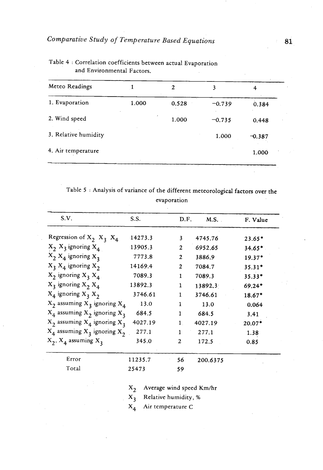|       | 2     | 3        |          |
|-------|-------|----------|----------|
| 1.000 | 0.528 | $-0.739$ | 0.384    |
|       | 1.000 | $-0.735$ | 0.448    |
|       |       | 1.000    | $-0.387$ |
|       |       |          | 1.000    |
|       |       |          |          |

Table **4** : Correlation coefficients between actual Evaporation and Environmental Factors.

Table 5 : Analysis of variance of the different meteorological factors over the evaporation

| S.V.                                | S.S.    | D.F.         | M.S.     | F. Value |
|-------------------------------------|---------|--------------|----------|----------|
| Regression of $X_2$ , $X_3$ , $X_4$ | 14273.3 | 3            | 4745.76  | $23.65*$ |
| $X_2$ , $X_3$ ignoring $X_4$        | 13905.3 | $\mathbf{2}$ | 6952.65  | $34.65*$ |
| $X_2$ $X_4$ ignoring $X_3$          | 7773.8  | $\mathbf{2}$ | 3886.9   | $19.37*$ |
| $X_3$ , $X_4$ ignoring $X_2$        | 14169.4 | $\mathbf{2}$ | 7084.7   | $35.31*$ |
| $X_2$ ignoring $X_3$ $X_4$ .        | 7089.3  | 1            | 7089.3   | 35.33*   |
| $X_3$ ignoring $X_2$ $X_4$          | 13892.3 | $\mathbf{1}$ | 13892.3  | 69.24*   |
| $X_4$ ignoring $X_3$ , $X_2$        | 3746.61 | 1            | 3746.61  | 18.67*   |
| $X_2$ assuming $X_3$ ignoring $X_4$ | 13.0    | 1            | 13.0     | 0.064    |
| $X_4$ assuming $X_2$ ignoring $X_3$ | 684.5   | 1            | 684.5    | 3.41     |
| $X_2$ assuming $X_4$ ignoring $X_3$ | 4027.19 | $\mathbf{1}$ | 4027.19  | 20.07*   |
| $X_4$ assuming $X_3$ ignoring $X_2$ | 277.1   | 1            | 277.1    | 1.38     |
| $X_2$ , $X_4$ assuming $X_3$        | 345.0   | $\mathbf{2}$ | 172.5    | 0.85     |
| Error                               | 11235.7 | 56           | 200.6375 |          |
| Total                               | 25473   | 59           |          |          |

**X2** Average wind speed Km/hr

**X3** Relative humidity, %

**X4** Air temperature **C**